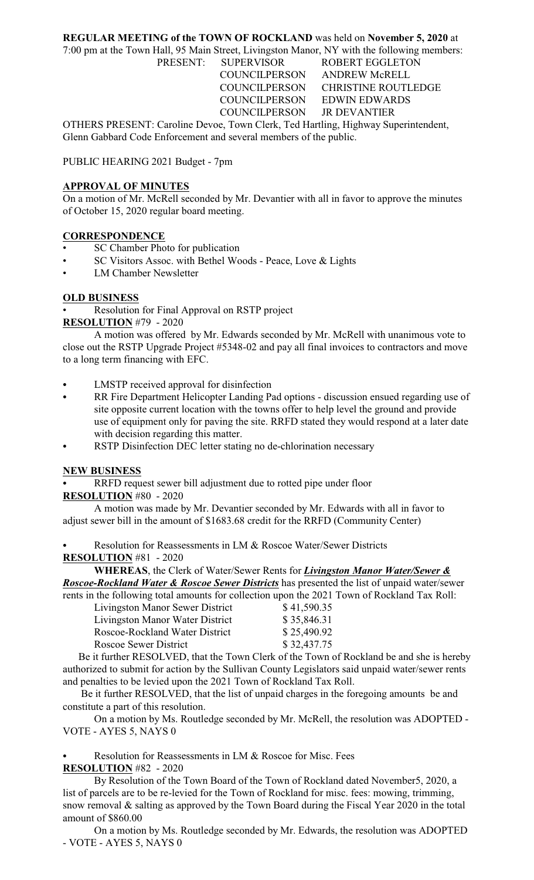## **REGULAR MEETING of the TOWN OF ROCKLAND** was held on **November 5, 2020** at

7:00 pm at the Town Hall, 95 Main Street, Livingston Manor, NY with the following members:

PRESENT: SUPERVISOR ROBERT EGGLETON COUNCILPERSON ANDREW McRELL COUNCILPERSON CHRISTINE ROUTLEDGE COUNCILPERSON EDWIN EDWARDS COUNCILPERSON JR DEVANTIER

OTHERS PRESENT: Caroline Devoe, Town Clerk, Ted Hartling, Highway Superintendent, Glenn Gabbard Code Enforcement and several members of the public.

PUBLIC HEARING 2021 Budget - 7pm

### **APPROVAL OF MINUTES**

On a motion of Mr. McRell seconded by Mr. Devantier with all in favor to approve the minutes of October 15, 2020 regular board meeting.

#### **CORRESPONDENCE**

- SC Chamber Photo for publication
- SC Visitors Assoc. with Bethel Woods Peace, Love & Lights
- LM Chamber Newsletter

#### **OLD BUSINESS**

• Resolution for Final Approval on RSTP project **RESOLUTION** #79 - 2020

A motion was offered by Mr. Edwards seconded by Mr. McRell with unanimous vote to close out the RSTP Upgrade Project #5348-02 and pay all final invoices to contractors and move to a long term financing with EFC.

- LMSTP received approval for disinfection
- RR Fire Department Helicopter Landing Pad options discussion ensued regarding use of site opposite current location with the towns offer to help level the ground and provide use of equipment only for paving the site. RRFD stated they would respond at a later date with decision regarding this matter.
- RSTP Disinfection DEC letter stating no de-chlorination necessary

#### **NEW BUSINESS**

RRFD request sewer bill adjustment due to rotted pipe under floor

**RESOLUTION** #80 - 2020

A motion was made by Mr. Devantier seconded by Mr. Edwards with all in favor to adjust sewer bill in the amount of \$1683.68 credit for the RRFD (Community Center)

Resolution for Reassessments in LM & Roscoe Water/Sewer Districts **RESOLUTION** #81 - 2020

**WHEREAS**, the Clerk of Water/Sewer Rents for *Livingston Manor Water/Sewer & Roscoe-Rockland Water & Roscoe Sewer Districts* has presented the list of unpaid water/sewer

| rents in the following total amounts for collection upon the 2021 Town of Rockland Tax Roll: |             |
|----------------------------------------------------------------------------------------------|-------------|
| Livingston Manor Sewer District                                                              | \$41,590.35 |
| Livingston Manor Water District                                                              | \$35,846.31 |
| Roscoe-Rockland Water District                                                               | \$25,490.92 |
| Roscoe Sewer District                                                                        | \$32,437.75 |

 Be it further RESOLVED, that the Town Clerk of the Town of Rockland be and she is hereby authorized to submit for action by the Sullivan County Legislators said unpaid water/sewer rents and penalties to be levied upon the 2021 Town of Rockland Tax Roll.

 Be it further RESOLVED, that the list of unpaid charges in the foregoing amounts be and constitute a part of this resolution.

On a motion by Ms. Routledge seconded by Mr. McRell, the resolution was ADOPTED - VOTE - AYES 5, NAYS 0

Resolution for Reassessments in LM & Roscoe for Misc. Fees **RESOLUTION** #82 - 2020

By Resolution of the Town Board of the Town of Rockland dated November5, 2020, a list of parcels are to be re-levied for the Town of Rockland for misc. fees: mowing, trimming, snow removal & salting as approved by the Town Board during the Fiscal Year 2020 in the total amount of \$860.00

On a motion by Ms. Routledge seconded by Mr. Edwards, the resolution was ADOPTED - VOTE - AYES 5, NAYS 0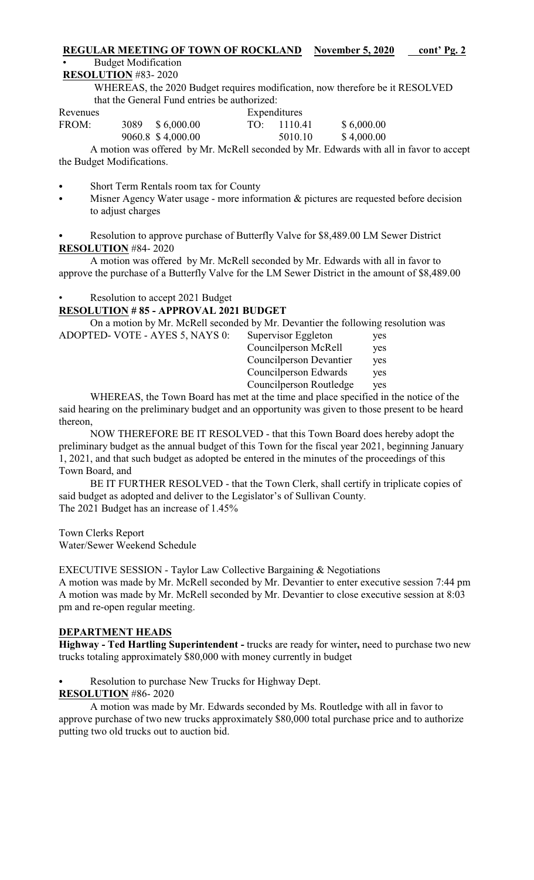### **REGULAR MEETING OF TOWN OF ROCKLAND** November 5, 2020 cont' Pg. 2

#### • Budget Modification

## **RESOLUTION** #83- 2020

WHEREAS, the 2020 Budget requires modification, now therefore be it RESOLVED that the General Fund entries be authorized:

| Revenues |      |                   | Expenditures |             |            |
|----------|------|-------------------|--------------|-------------|------------|
| FROM:    | 3089 | \$6,000.00        |              | TO: 1110.41 | \$6,000.00 |
|          |      | 9060.8 \$4,000.00 |              | 5010.10     | \$4,000.00 |

A motion was offered by Mr. McRell seconded by Mr. Edwards with all in favor to accept the Budget Modifications.

- Short Term Rentals room tax for County
- Misner Agency Water usage more information  $\&$  pictures are requested before decision to adjust charges

Resolution to approve purchase of Butterfly Valve for \$8,489.00 LM Sewer District **RESOLUTION** #84- 2020

A motion was offered by Mr. McRell seconded by Mr. Edwards with all in favor to approve the purchase of a Butterfly Valve for the LM Sewer District in the amount of \$8,489.00

# Resolution to accept 2021 Budget

## **RESOLUTION # 85 - APPROVAL 2021 BUDGET**

On a motion by Mr. McRell seconded by Mr. Devantier the following resolution was

| ADOPTED- VOTE - AYES 5, NAYS 0: | Supervisor Eggleton     | yes        |
|---------------------------------|-------------------------|------------|
|                                 | Councilperson McRell    | yes        |
|                                 | Councilperson Devantier | yes        |
|                                 | Council person Edwards  | <b>ves</b> |
|                                 | Councilperson Routledge | yes        |
|                                 |                         |            |

WHEREAS, the Town Board has met at the time and place specified in the notice of the said hearing on the preliminary budget and an opportunity was given to those present to be heard thereon,

NOW THEREFORE BE IT RESOLVED - that this Town Board does hereby adopt the preliminary budget as the annual budget of this Town for the fiscal year 2021, beginning January 1, 2021, and that such budget as adopted be entered in the minutes of the proceedings of this Town Board, and

BE IT FURTHER RESOLVED - that the Town Clerk, shall certify in triplicate copies of said budget as adopted and deliver to the Legislator's of Sullivan County. The 2021 Budget has an increase of 1.45%

Town Clerks Report Water/Sewer Weekend Schedule

EXECUTIVE SESSION - Taylor Law Collective Bargaining & Negotiations A motion was made by Mr. McRell seconded by Mr. Devantier to enter executive session 7:44 pm A motion was made by Mr. McRell seconded by Mr. Devantier to close executive session at 8:03 pm and re-open regular meeting.

# **DEPARTMENT HEADS**

**Highway - Ted Hartling Superintendent -** trucks are ready for winter**,** need to purchase two new trucks totaling approximately \$80,000 with money currently in budget

- Resolution to purchase New Trucks for Highway Dept.
- **RESOLUTION** #86- 2020

A motion was made by Mr. Edwards seconded by Ms. Routledge with all in favor to approve purchase of two new trucks approximately \$80,000 total purchase price and to authorize putting two old trucks out to auction bid.